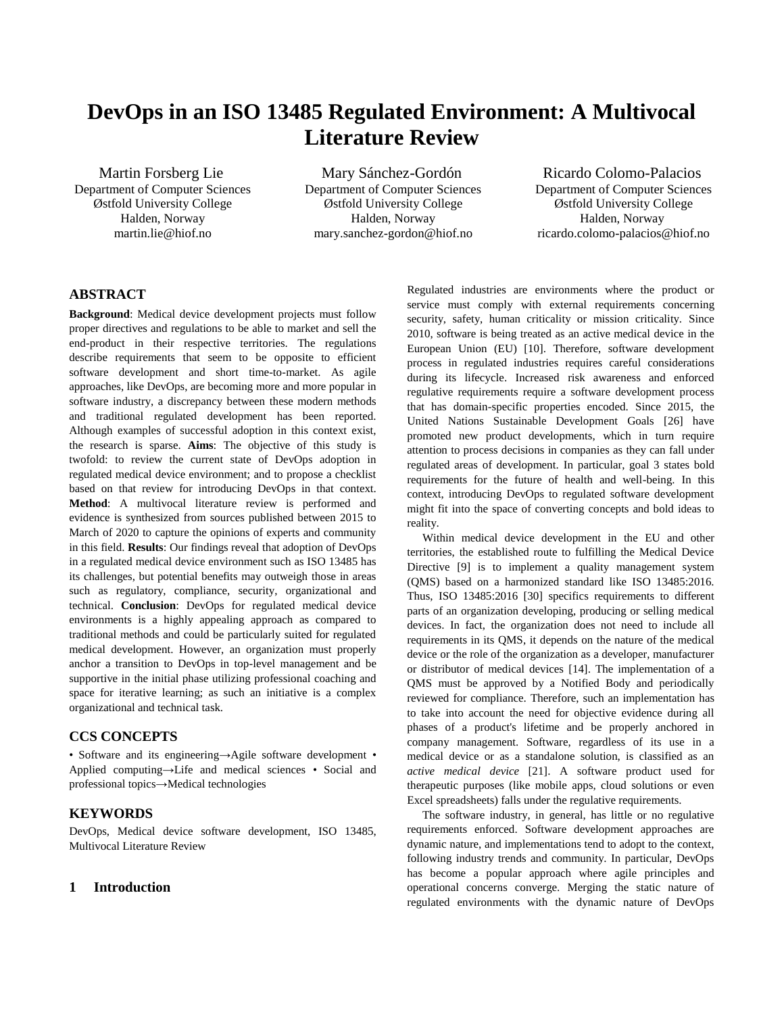# **DevOps in an ISO 13485 Regulated Environment: A Multivocal Literature Review**

Martin Forsberg Lie Department of Computer Sciences Østfold University College Halden, Norway martin.lie@hiof.no

Mary Sánchez-Gordón Department of Computer Sciences Østfold University College Halden, Norway mary.sanchez-gordon@hiof.no

Ricardo Colomo-Palacios Department of Computer Sciences Østfold University College Halden, Norway ricardo.colomo-palacios@hiof.no

# **ABSTRACT**

**Background**: Medical device development projects must follow proper directives and regulations to be able to market and sell the end-product in their respective territories. The regulations describe requirements that seem to be opposite to efficient software development and short time-to-market. As agile approaches, like DevOps, are becoming more and more popular in software industry, a discrepancy between these modern methods and traditional regulated development has been reported. Although examples of successful adoption in this context exist, the research is sparse. **Aims**: The objective of this study is twofold: to review the current state of DevOps adoption in regulated medical device environment; and to propose a checklist based on that review for introducing DevOps in that context. **Method**: A multivocal literature review is performed and evidence is synthesized from sources published between 2015 to March of 2020 to capture the opinions of experts and community in this field. **Results**: Our findings reveal that adoption of DevOps in a regulated medical device environment such as ISO 13485 has its challenges, but potential benefits may outweigh those in areas such as regulatory, compliance, security, organizational and technical. **Conclusion**: DevOps for regulated medical device environments is a highly appealing approach as compared to traditional methods and could be particularly suited for regulated medical development. However, an organization must properly anchor a transition to DevOps in top-level management and be supportive in the initial phase utilizing professional coaching and space for iterative learning; as such an initiative is a complex organizational and technical task.

# **CCS CONCEPTS**

• Software and its engineering→Agile software development • Applied computing→Life and medical sciences • Social and professional topics→Medical technologies

# **KEYWORDS**

DevOps, Medical device software development, ISO 13485, Multivocal Literature Review

# **1 Introduction**

Regulated industries are environments where the product or service must comply with external requirements concerning security, safety, human criticality or mission criticality. Since 2010, software is being treated as an active medical device in the European Union (EU) [10]. Therefore, software development process in regulated industries requires careful considerations during its lifecycle. Increased risk awareness and enforced regulative requirements require a software development process that has domain-specific properties encoded. Since 2015, the United Nations Sustainable Development Goals [26] have promoted new product developments, which in turn require attention to process decisions in companies as they can fall under regulated areas of development. In particular, goal 3 states bold requirements for the future of health and well-being. In this context, introducing DevOps to regulated software development might fit into the space of converting concepts and bold ideas to reality.

Within medical device development in the EU and other territories, the established route to fulfilling the Medical Device Directive [9] is to implement a quality management system (QMS) based on a harmonized standard like ISO 13485:2016. Thus, ISO 13485:2016 [30] specifics requirements to different parts of an organization developing, producing or selling medical devices. In fact, the organization does not need to include all requirements in its QMS, it depends on the nature of the medical device or the role of the organization as a developer, manufacturer or distributor of medical devices [14]. The implementation of a QMS must be approved by a Notified Body and periodically reviewed for compliance. Therefore, such an implementation has to take into account the need for objective evidence during all phases of a product's lifetime and be properly anchored in company management. Software, regardless of its use in a medical device or as a standalone solution, is classified as an *active medical device* [21]. A software product used for therapeutic purposes (like mobile apps, cloud solutions or even Excel spreadsheets) falls under the regulative requirements.

The software industry, in general, has little or no regulative requirements enforced. Software development approaches are dynamic nature, and implementations tend to adopt to the context, following industry trends and community. In particular, DevOps has become a popular approach where agile principles and operational concerns converge. Merging the static nature of regulated environments with the dynamic nature of DevOps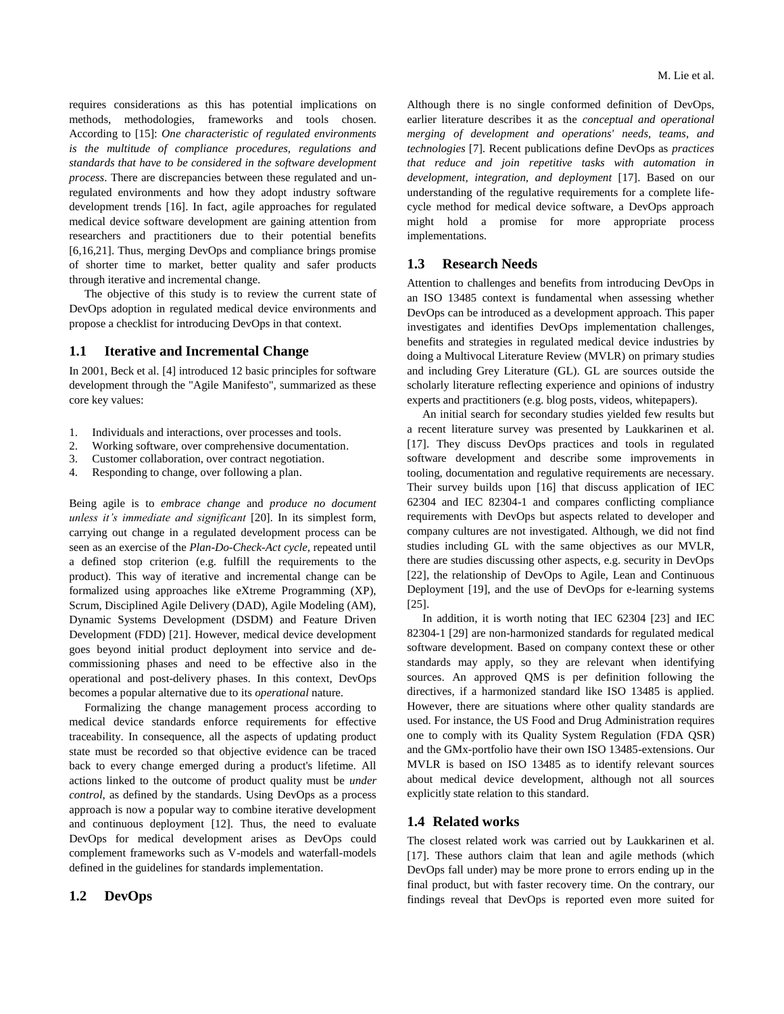requires considerations as this has potential implications on methods, methodologies, frameworks and tools chosen. According to [15]: *One characteristic of regulated environments is the multitude of compliance procedures, regulations and standards that have to be considered in the software development process*. There are discrepancies between these regulated and unregulated environments and how they adopt industry software development trends [16]. In fact, agile approaches for regulated medical device software development are gaining attention from researchers and practitioners due to their potential benefits [6,16,21]. Thus, merging DevOps and compliance brings promise of shorter time to market, better quality and safer products through iterative and incremental change.

The objective of this study is to review the current state of DevOps adoption in regulated medical device environments and propose a checklist for introducing DevOps in that context.

### **1.1 Iterative and Incremental Change**

In 2001, Beck et al. [4] introduced 12 basic principles for software development through the "Agile Manifesto", summarized as these core key values:

- 1. Individuals and interactions, over processes and tools.
- 2. Working software, over comprehensive documentation.
- 3. Customer collaboration, over contract negotiation.
- 4. Responding to change, over following a plan.

Being agile is to *embrace change* and *produce no document unless it's immediate and significant* [20]. In its simplest form, carrying out change in a regulated development process can be seen as an exercise of the *Plan-Do-Check-Act cycle*, repeated until a defined stop criterion (e.g. fulfill the requirements to the product). This way of iterative and incremental change can be formalized using approaches like eXtreme Programming (XP), Scrum, Disciplined Agile Delivery (DAD), Agile Modeling (AM), Dynamic Systems Development (DSDM) and Feature Driven Development (FDD) [21]. However, medical device development goes beyond initial product deployment into service and decommissioning phases and need to be effective also in the operational and post-delivery phases. In this context, DevOps becomes a popular alternative due to its *operational* nature.

Formalizing the change management process according to medical device standards enforce requirements for effective traceability. In consequence, all the aspects of updating product state must be recorded so that objective evidence can be traced back to every change emerged during a product's lifetime. All actions linked to the outcome of product quality must be *under control*, as defined by the standards. Using DevOps as a process approach is now a popular way to combine iterative development and continuous deployment [12]. Thus, the need to evaluate DevOps for medical development arises as DevOps could complement frameworks such as V-models and waterfall-models defined in the guidelines for standards implementation.

# **1.2 DevOps**

Although there is no single conformed definition of DevOps, earlier literature describes it as the *conceptual and operational merging of development and operations' needs, teams, and technologies* [7]. Recent publications define DevOps as *practices that reduce and join repetitive tasks with automation in development, integration, and deployment* [17]. Based on our understanding of the regulative requirements for a complete lifecycle method for medical device software, a DevOps approach might hold a promise for more appropriate process implementations.

### **1.3 Research Needs**

Attention to challenges and benefits from introducing DevOps in an ISO 13485 context is fundamental when assessing whether DevOps can be introduced as a development approach. This paper investigates and identifies DevOps implementation challenges, benefits and strategies in regulated medical device industries by doing a Multivocal Literature Review (MVLR) on primary studies and including Grey Literature (GL). GL are sources outside the scholarly literature reflecting experience and opinions of industry experts and practitioners (e.g. blog posts, videos, whitepapers).

An initial search for secondary studies yielded few results but a recent literature survey was presented by Laukkarinen et al. [17]. They discuss DevOps practices and tools in regulated software development and describe some improvements in tooling, documentation and regulative requirements are necessary. Their survey builds upon [16] that discuss application of IEC 62304 and IEC 82304-1 and compares conflicting compliance requirements with DevOps but aspects related to developer and company cultures are not investigated. Although, we did not find studies including GL with the same objectives as our MVLR, there are studies discussing other aspects, e.g. security in DevOps [22], the relationship of DevOps to Agile, Lean and Continuous Deployment [19], and the use of DevOps for e-learning systems [25].

In addition, it is worth noting that IEC 62304 [23] and IEC 82304-1 [29] are non-harmonized standards for regulated medical software development. Based on company context these or other standards may apply, so they are relevant when identifying sources. An approved QMS is per definition following the directives, if a harmonized standard like ISO 13485 is applied. However, there are situations where other quality standards are used. For instance, the US Food and Drug Administration requires one to comply with its Quality System Regulation (FDA QSR) and the GMx-portfolio have their own ISO 13485-extensions. Our MVLR is based on ISO 13485 as to identify relevant sources about medical device development, although not all sources explicitly state relation to this standard.

### **1.4 Related works**

The closest related work was carried out by Laukkarinen et al. [17]. These authors claim that lean and agile methods (which DevOps fall under) may be more prone to errors ending up in the final product, but with faster recovery time. On the contrary, our findings reveal that DevOps is reported even more suited for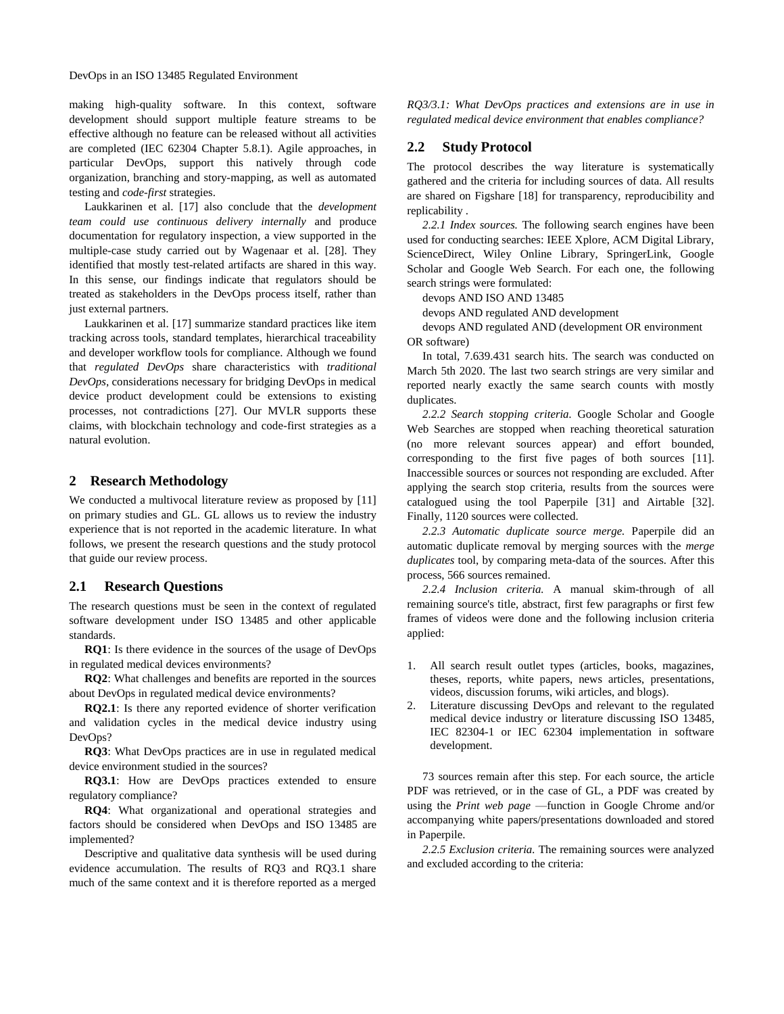making high-quality software. In this context, software development should support multiple feature streams to be effective although no feature can be released without all activities are completed (IEC 62304 Chapter 5.8.1). Agile approaches, in particular DevOps, support this natively through code organization, branching and story-mapping, as well as automated testing and *code-first* strategies.

Laukkarinen et al. [17] also conclude that the *development team could use continuous delivery internally* and produce documentation for regulatory inspection, a view supported in the multiple-case study carried out by Wagenaar et al. [28]. They identified that mostly test-related artifacts are shared in this way. In this sense, our findings indicate that regulators should be treated as stakeholders in the DevOps process itself, rather than just external partners.

Laukkarinen et al. [17] summarize standard practices like item tracking across tools, standard templates, hierarchical traceability and developer workflow tools for compliance. Although we found that *regulated DevOps* share characteristics with *traditional DevOps*, considerations necessary for bridging DevOps in medical device product development could be extensions to existing processes, not contradictions [27]. Our MVLR supports these claims, with blockchain technology and code-first strategies as a natural evolution.

### **2 Research Methodology**

We conducted a multivocal literature review as proposed by [11] on primary studies and GL. GL allows us to review the industry experience that is not reported in the academic literature. In what follows, we present the research questions and the study protocol that guide our review process.

#### **2.1 Research Questions**

The research questions must be seen in the context of regulated software development under ISO 13485 and other applicable standards.

**RQ1**: Is there evidence in the sources of the usage of DevOps in regulated medical devices environments?

**RQ2**: What challenges and benefits are reported in the sources about DevOps in regulated medical device environments?

**RQ2.1**: Is there any reported evidence of shorter verification and validation cycles in the medical device industry using DevOps?

**RQ3**: What DevOps practices are in use in regulated medical device environment studied in the sources?

**RQ3.1**: How are DevOps practices extended to ensure regulatory compliance?

**RQ4**: What organizational and operational strategies and factors should be considered when DevOps and ISO 13485 are implemented?

Descriptive and qualitative data synthesis will be used during evidence accumulation. The results of RQ3 and RQ3.1 share much of the same context and it is therefore reported as a merged

*RQ3/3.1: What DevOps practices and extensions are in use in regulated medical device environment that enables compliance?*

# **2.2 Study Protocol**

The protocol describes the way literature is systematically gathered and the criteria for including sources of data. All results are shared on Figshare [18] for transparency, reproducibility and replicability .

*2.2.1 Index sources.* The following search engines have been used for conducting searches: IEEE Xplore, ACM Digital Library, ScienceDirect, Wiley Online Library, SpringerLink, Google Scholar and Google Web Search. For each one, the following search strings were formulated:

devops AND ISO AND 13485

devops AND regulated AND development

devops AND regulated AND (development OR environment OR software)

In total, 7.639.431 search hits. The search was conducted on March 5th 2020. The last two search strings are very similar and reported nearly exactly the same search counts with mostly duplicates.

*2.2.2 Search stopping criteria.* Google Scholar and Google Web Searches are stopped when reaching theoretical saturation (no more relevant sources appear) and effort bounded, corresponding to the first five pages of both sources [11]. Inaccessible sources or sources not responding are excluded. After applying the search stop criteria, results from the sources were catalogued using the tool Paperpile [31] and Airtable [32]. Finally, 1120 sources were collected.

*2.2.3 Automatic duplicate source merge.* Paperpile did an automatic duplicate removal by merging sources with the *merge duplicates* tool, by comparing meta-data of the sources. After this process, 566 sources remained.

*2.2.4 Inclusion criteria.* A manual skim-through of all remaining source's title, abstract, first few paragraphs or first few frames of videos were done and the following inclusion criteria applied:

- 1. All search result outlet types (articles, books, magazines, theses, reports, white papers, news articles, presentations, videos, discussion forums, wiki articles, and blogs).
- 2. Literature discussing DevOps and relevant to the regulated medical device industry or literature discussing ISO 13485, IEC 82304-1 or IEC 62304 implementation in software development.

73 sources remain after this step. For each source, the article PDF was retrieved, or in the case of GL, a PDF was created by using the *Print web page* —function in Google Chrome and/or accompanying white papers/presentations downloaded and stored in Paperpile.

*2.2.5 Exclusion criteria.* The remaining sources were analyzed and excluded according to the criteria: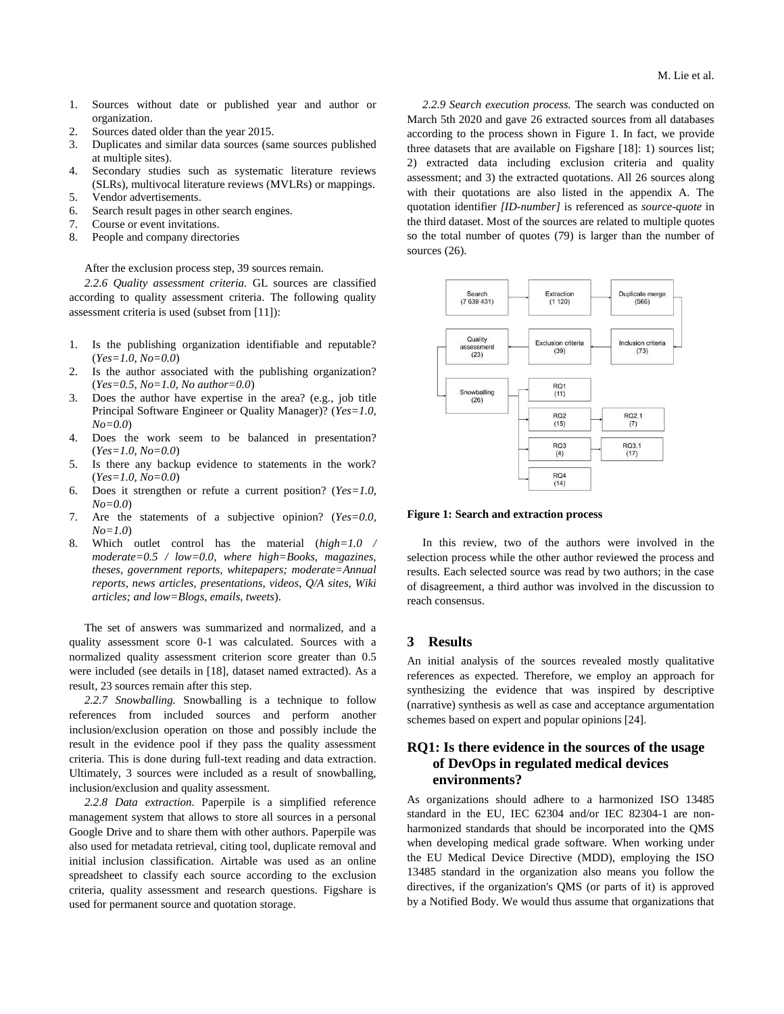- 1. Sources without date or published year and author or organization.
- 2. Sources dated older than the year 2015.
- 3. Duplicates and similar data sources (same sources published at multiple sites).
- 4. Secondary studies such as systematic literature reviews (SLRs), multivocal literature reviews (MVLRs) or mappings.
- 5. Vendor advertisements.
- 6. Search result pages in other search engines.
- 7. Course or event invitations.
- 8. People and company directories

After the exclusion process step, 39 sources remain.

*2.2.6 Quality assessment criteria.* GL sources are classified according to quality assessment criteria. The following quality assessment criteria is used (subset from [11]):

- 1. Is the publishing organization identifiable and reputable? (*Yes=1.0, No=0.0*)
- 2. Is the author associated with the publishing organization? (*Yes=0.5, No=1.0, No author=0.0*)
- 3. Does the author have expertise in the area? (e.g., job title Principal Software Engineer or Quality Manager)? (*Yes=1.0, No=0.0*)
- 4. Does the work seem to be balanced in presentation? (*Yes=1.0, No=0.0*)
- 5. Is there any backup evidence to statements in the work? (*Yes=1.0, No=0.0*)
- 6. Does it strengthen or refute a current position? (*Yes=1.0, No=0.0*)
- 7. Are the statements of a subjective opinion? (*Yes=0.0, No=1.0*)
- 8. Which outlet control has the material (*high=1.0 / moderate=0.5 / low=0.0, where high=Books, magazines, theses, government reports, whitepapers; moderate=Annual reports, news articles, presentations, videos, Q/A sites, Wiki articles; and low=Blogs, emails, tweets*).

The set of answers was summarized and normalized, and a quality assessment score 0-1 was calculated. Sources with a normalized quality assessment criterion score greater than 0.5 were included (see details in [18], dataset named extracted). As a result, 23 sources remain after this step.

*2.2.7 Snowballing.* Snowballing is a technique to follow references from included sources and perform another inclusion/exclusion operation on those and possibly include the result in the evidence pool if they pass the quality assessment criteria. This is done during full-text reading and data extraction. Ultimately, 3 sources were included as a result of snowballing, inclusion/exclusion and quality assessment.

*2.2.8 Data extraction.* Paperpile is a simplified reference management system that allows to store all sources in a personal Google Drive and to share them with other authors. Paperpile was also used for metadata retrieval, citing tool, duplicate removal and initial inclusion classification. Airtable was used as an online spreadsheet to classify each source according to the exclusion criteria, quality assessment and research questions. Figshare is used for permanent source and quotation storage.

*2.2.9 Search execution process.* The search was conducted on March 5th 2020 and gave 26 extracted sources from all databases according to the process shown in Figure 1. In fact, we provide three datasets that are available on Figshare [18]: 1) sources list; 2) extracted data including exclusion criteria and quality assessment; and 3) the extracted quotations. All 26 sources along with their quotations are also listed in the appendix A. The quotation identifier *[ID-number]* is referenced as *source-quote* in the third dataset. Most of the sources are related to multiple quotes so the total number of quotes (79) is larger than the number of sources (26).



### **Figure 1: Search and extraction process**

In this review, two of the authors were involved in the selection process while the other author reviewed the process and results. Each selected source was read by two authors; in the case of disagreement, a third author was involved in the discussion to reach consensus.

# **3 Results**

An initial analysis of the sources revealed mostly qualitative references as expected. Therefore, we employ an approach for synthesizing the evidence that was inspired by descriptive (narrative) synthesis as well as case and acceptance argumentation schemes based on expert and popular opinions [24].

# **RQ1: Is there evidence in the sources of the usage of DevOps in regulated medical devices environments?**

As organizations should adhere to a harmonized ISO 13485 standard in the EU, IEC 62304 and/or IEC 82304-1 are nonharmonized standards that should be incorporated into the QMS when developing medical grade software. When working under the EU Medical Device Directive (MDD), employing the ISO 13485 standard in the organization also means you follow the directives, if the organization's QMS (or parts of it) is approved by a Notified Body. We would thus assume that organizations that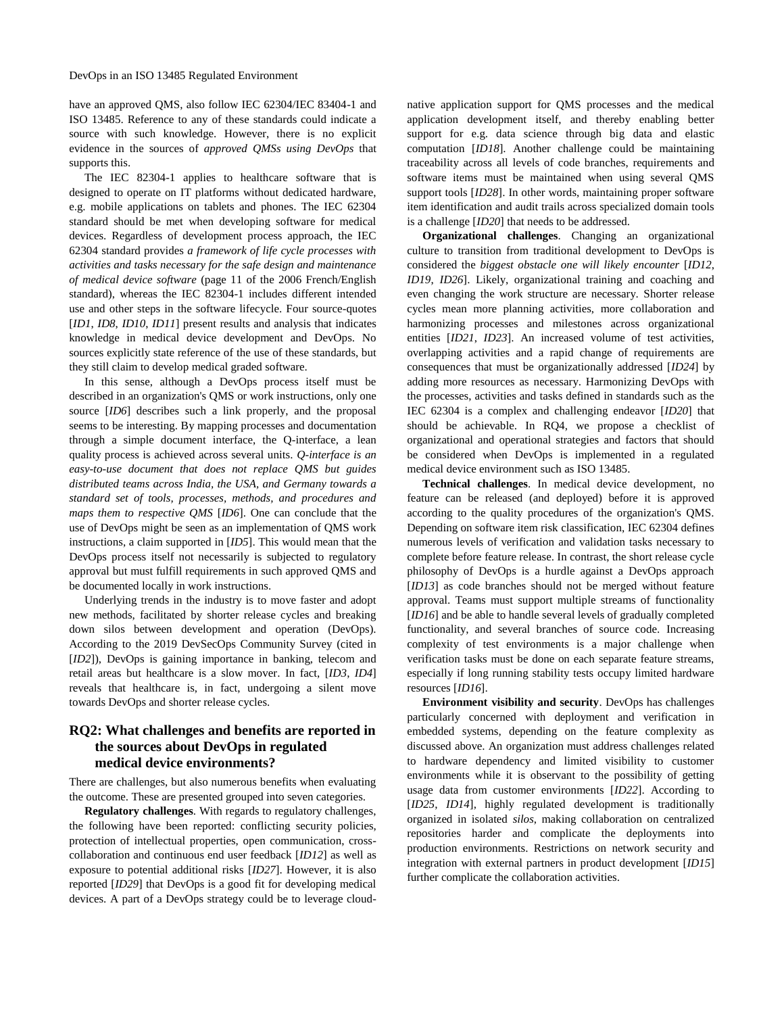have an approved QMS, also follow IEC 62304/IEC 83404-1 and ISO 13485. Reference to any of these standards could indicate a source with such knowledge. However, there is no explicit evidence in the sources of *approved QMSs using DevOps* that supports this.

The IEC 82304-1 applies to healthcare software that is designed to operate on IT platforms without dedicated hardware, e.g. mobile applications on tablets and phones. The IEC 62304 standard should be met when developing software for medical devices. Regardless of development process approach, the IEC 62304 standard provides *a framework of life cycle processes with activities and tasks necessary for the safe design and maintenance of medical device software* (page 11 of the 2006 French/English standard), whereas the IEC 82304-1 includes different intended use and other steps in the software lifecycle. Four source-quotes [*ID1*, *ID8*, *ID10*, *ID11*] present results and analysis that indicates knowledge in medical device development and DevOps. No sources explicitly state reference of the use of these standards, but they still claim to develop medical graded software.

In this sense, although a DevOps process itself must be described in an organization's QMS or work instructions, only one source [*ID6*] describes such a link properly, and the proposal seems to be interesting. By mapping processes and documentation through a simple document interface, the Q-interface, a lean quality process is achieved across several units. *Q-interface is an easy-to-use document that does not replace QMS but guides distributed teams across India, the USA, and Germany towards a standard set of tools, processes, methods, and procedures and maps them to respective QMS* [*ID6*]. One can conclude that the use of DevOps might be seen as an implementation of QMS work instructions, a claim supported in [*ID5*]. This would mean that the DevOps process itself not necessarily is subjected to regulatory approval but must fulfill requirements in such approved QMS and be documented locally in work instructions.

Underlying trends in the industry is to move faster and adopt new methods, facilitated by shorter release cycles and breaking down silos between development and operation (DevOps). According to the 2019 DevSecOps Community Survey (cited in [*ID2*]), DevOps is gaining importance in banking, telecom and retail areas but healthcare is a slow mover. In fact, [*ID3*, *ID4*] reveals that healthcare is, in fact, undergoing a silent move towards DevOps and shorter release cycles.

# **RQ2: What challenges and benefits are reported in the sources about DevOps in regulated medical device environments?**

There are challenges, but also numerous benefits when evaluating the outcome. These are presented grouped into seven categories.

**Regulatory challenges**. With regards to regulatory challenges, the following have been reported: conflicting security policies, protection of intellectual properties, open communication, crosscollaboration and continuous end user feedback [*ID12*] as well as exposure to potential additional risks [*ID27*]. However, it is also reported [*ID29*] that DevOps is a good fit for developing medical devices. A part of a DevOps strategy could be to leverage cloudnative application support for QMS processes and the medical application development itself, and thereby enabling better support for e.g. data science through big data and elastic computation [*ID18*]. Another challenge could be maintaining traceability across all levels of code branches, requirements and software items must be maintained when using several QMS support tools [*ID28*]. In other words, maintaining proper software item identification and audit trails across specialized domain tools is a challenge [*ID20*] that needs to be addressed.

**Organizational challenges**. Changing an organizational culture to transition from traditional development to DevOps is considered the *biggest obstacle one will likely encounter* [*ID12*, *ID19*, *ID26*]. Likely, organizational training and coaching and even changing the work structure are necessary. Shorter release cycles mean more planning activities, more collaboration and harmonizing processes and milestones across organizational entities [*ID21*, *ID23*]. An increased volume of test activities, overlapping activities and a rapid change of requirements are consequences that must be organizationally addressed [*ID24*] by adding more resources as necessary. Harmonizing DevOps with the processes, activities and tasks defined in standards such as the IEC 62304 is a complex and challenging endeavor [*ID20*] that should be achievable. In RQ4, we propose a checklist of organizational and operational strategies and factors that should be considered when DevOps is implemented in a regulated medical device environment such as ISO 13485.

**Technical challenges**. In medical device development, no feature can be released (and deployed) before it is approved according to the quality procedures of the organization's QMS. Depending on software item risk classification, IEC 62304 defines numerous levels of verification and validation tasks necessary to complete before feature release. In contrast, the short release cycle philosophy of DevOps is a hurdle against a DevOps approach [*ID13*] as code branches should not be merged without feature approval. Teams must support multiple streams of functionality [*ID16*] and be able to handle several levels of gradually completed functionality, and several branches of source code. Increasing complexity of test environments is a major challenge when verification tasks must be done on each separate feature streams, especially if long running stability tests occupy limited hardware resources [*ID16*].

**Environment visibility and security**. DevOps has challenges particularly concerned with deployment and verification in embedded systems, depending on the feature complexity as discussed above. An organization must address challenges related to hardware dependency and limited visibility to customer environments while it is observant to the possibility of getting usage data from customer environments [*ID22*]. According to [*ID25*, *ID14*], highly regulated development is traditionally organized in isolated *silos*, making collaboration on centralized repositories harder and complicate the deployments into production environments. Restrictions on network security and integration with external partners in product development [*ID15*] further complicate the collaboration activities.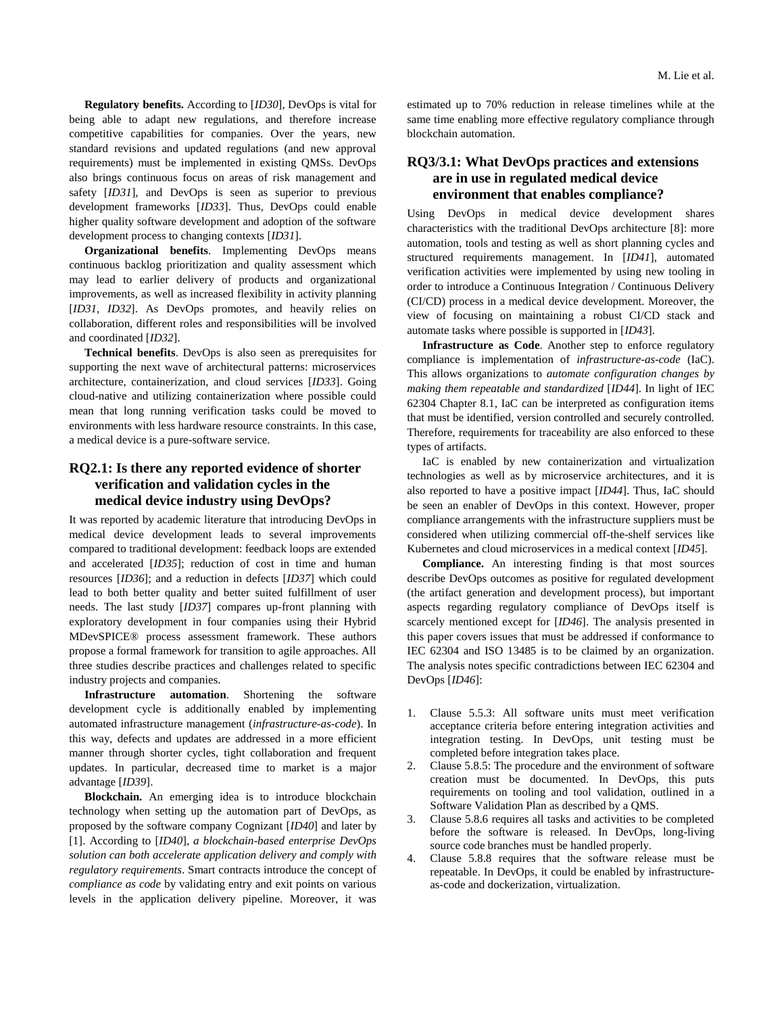**Regulatory benefits.** According to [*ID30*], DevOps is vital for being able to adapt new regulations, and therefore increase competitive capabilities for companies. Over the years, new standard revisions and updated regulations (and new approval requirements) must be implemented in existing QMSs. DevOps also brings continuous focus on areas of risk management and safety [*ID31*], and DevOps is seen as superior to previous development frameworks [*ID33*]. Thus, DevOps could enable higher quality software development and adoption of the software development process to changing contexts [*ID31*].

**Organizational benefits**. Implementing DevOps means continuous backlog prioritization and quality assessment which may lead to earlier delivery of products and organizational improvements, as well as increased flexibility in activity planning [*ID31*, *ID32*]. As DevOps promotes, and heavily relies on collaboration, different roles and responsibilities will be involved and coordinated [*ID32*].

**Technical benefits**. DevOps is also seen as prerequisites for supporting the next wave of architectural patterns: microservices architecture, containerization, and cloud services [*ID33*]. Going cloud-native and utilizing containerization where possible could mean that long running verification tasks could be moved to environments with less hardware resource constraints. In this case, a medical device is a pure-software service.

# **RQ2.1: Is there any reported evidence of shorter verification and validation cycles in the medical device industry using DevOps?**

It was reported by academic literature that introducing DevOps in medical device development leads to several improvements compared to traditional development: feedback loops are extended and accelerated [*ID35*]; reduction of cost in time and human resources [*ID36*]; and a reduction in defects [*ID37*] which could lead to both better quality and better suited fulfillment of user needs. The last study [*ID37*] compares up-front planning with exploratory development in four companies using their Hybrid MDevSPICE® process assessment framework. These authors propose a formal framework for transition to agile approaches. All three studies describe practices and challenges related to specific industry projects and companies.

**Infrastructure automation**. Shortening the software development cycle is additionally enabled by implementing automated infrastructure management (*infrastructure-as-code*). In this way, defects and updates are addressed in a more efficient manner through shorter cycles, tight collaboration and frequent updates. In particular, decreased time to market is a major advantage [*ID39*].

**Blockchain.** An emerging idea is to introduce blockchain technology when setting up the automation part of DevOps, as proposed by the software company Cognizant [*ID40*] and later by [1]. According to [*ID40*], *a blockchain-based enterprise DevOps solution can both accelerate application delivery and comply with regulatory requirements*. Smart contracts introduce the concept of *compliance as code* by validating entry and exit points on various levels in the application delivery pipeline. Moreover, it was

estimated up to 70% reduction in release timelines while at the same time enabling more effective regulatory compliance through blockchain automation.

# **RQ3/3.1: What DevOps practices and extensions are in use in regulated medical device environment that enables compliance?**

Using DevOps in medical device development shares characteristics with the traditional DevOps architecture [8]: more automation, tools and testing as well as short planning cycles and structured requirements management. In [*ID41*], automated verification activities were implemented by using new tooling in order to introduce a Continuous Integration / Continuous Delivery (CI/CD) process in a medical device development. Moreover, the view of focusing on maintaining a robust CI/CD stack and automate tasks where possible is supported in [*ID43*].

**Infrastructure as Code**. Another step to enforce regulatory compliance is implementation of *infrastructure-as-code* (IaC). This allows organizations to *automate configuration changes by making them repeatable and standardized* [*ID44*]. In light of IEC 62304 Chapter 8.1, IaC can be interpreted as configuration items that must be identified, version controlled and securely controlled. Therefore, requirements for traceability are also enforced to these types of artifacts.

IaC is enabled by new containerization and virtualization technologies as well as by microservice architectures, and it is also reported to have a positive impact [*ID44*]. Thus, IaC should be seen an enabler of DevOps in this context. However, proper compliance arrangements with the infrastructure suppliers must be considered when utilizing commercial off-the-shelf services like Kubernetes and cloud microservices in a medical context [*ID45*].

**Compliance.** An interesting finding is that most sources describe DevOps outcomes as positive for regulated development (the artifact generation and development process), but important aspects regarding regulatory compliance of DevOps itself is scarcely mentioned except for [*ID46*]. The analysis presented in this paper covers issues that must be addressed if conformance to IEC 62304 and ISO 13485 is to be claimed by an organization. The analysis notes specific contradictions between IEC 62304 and DevOps [*ID46*]:

- 1. Clause 5.5.3: All software units must meet verification acceptance criteria before entering integration activities and integration testing. In DevOps, unit testing must be completed before integration takes place.
- 2. Clause 5.8.5: The procedure and the environment of software creation must be documented. In DevOps, this puts requirements on tooling and tool validation, outlined in a Software Validation Plan as described by a QMS.
- 3. Clause 5.8.6 requires all tasks and activities to be completed before the software is released. In DevOps, long-living source code branches must be handled properly.
- 4. Clause 5.8.8 requires that the software release must be repeatable. In DevOps, it could be enabled by infrastructureas-code and dockerization, virtualization.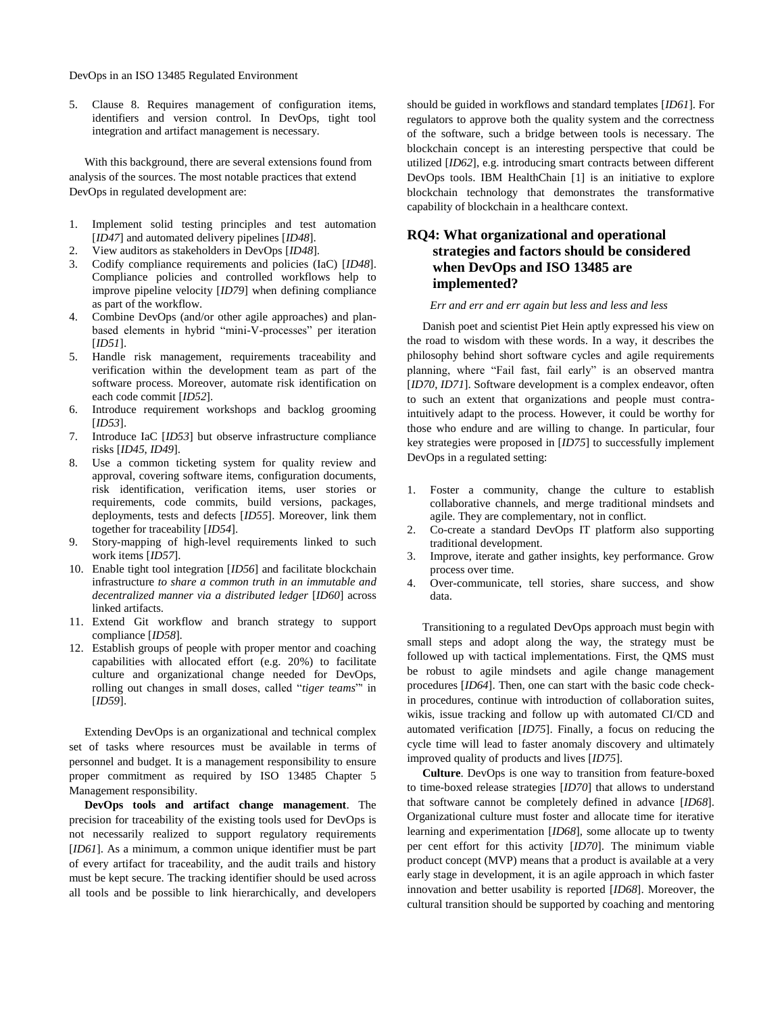5. Clause 8. Requires management of configuration items, identifiers and version control. In DevOps, tight tool integration and artifact management is necessary.

With this background, there are several extensions found from analysis of the sources. The most notable practices that extend DevOps in regulated development are:

- 1. Implement solid testing principles and test automation [*ID47*] and automated delivery pipelines [*ID48*].
- 2. View auditors as stakeholders in DevOps [*ID48*].
- 3. Codify compliance requirements and policies (IaC) [*ID48*]. Compliance policies and controlled workflows help to improve pipeline velocity [*ID79*] when defining compliance as part of the workflow.
- Combine DevOps (and/or other agile approaches) and planbased elements in hybrid "mini-V-processes" per iteration [*ID51*].
- 5. Handle risk management, requirements traceability and verification within the development team as part of the software process. Moreover, automate risk identification on each code commit [*ID52*].
- 6. Introduce requirement workshops and backlog grooming [*ID53*].
- 7. Introduce IaC [*ID53*] but observe infrastructure compliance risks [*ID45*, *ID49*].
- 8. Use a common ticketing system for quality review and approval, covering software items, configuration documents, risk identification, verification items, user stories or requirements, code commits, build versions, packages, deployments, tests and defects [*ID55*]. Moreover, link them together for traceability [*ID54*].
- 9. Story-mapping of high-level requirements linked to such work items [*ID57*].
- 10. Enable tight tool integration [*ID56*] and facilitate blockchain infrastructure *to share a common truth in an immutable and decentralized manner via a distributed ledger* [*ID60*] across linked artifacts.
- 11. Extend Git workflow and branch strategy to support compliance [*ID58*].
- 12. Establish groups of people with proper mentor and coaching capabilities with allocated effort (e.g. 20%) to facilitate culture and organizational change needed for DevOps, rolling out changes in small doses, called "*tiger teams*"' in [*ID59*].

Extending DevOps is an organizational and technical complex set of tasks where resources must be available in terms of personnel and budget. It is a management responsibility to ensure proper commitment as required by ISO 13485 Chapter 5 Management responsibility.

**DevOps tools and artifact change management**. The precision for traceability of the existing tools used for DevOps is not necessarily realized to support regulatory requirements [*ID61*]. As a minimum, a common unique identifier must be part of every artifact for traceability, and the audit trails and history must be kept secure. The tracking identifier should be used across all tools and be possible to link hierarchically, and developers

should be guided in workflows and standard templates [*ID61*]. For regulators to approve both the quality system and the correctness of the software, such a bridge between tools is necessary. The blockchain concept is an interesting perspective that could be utilized [*ID62*], e.g. introducing smart contracts between different DevOps tools. IBM HealthChain [1] is an initiative to explore blockchain technology that demonstrates the transformative capability of blockchain in a healthcare context.

# **RQ4: What organizational and operational strategies and factors should be considered when DevOps and ISO 13485 are implemented?**

#### *Err and err and err again but less and less and less*

Danish poet and scientist Piet Hein aptly expressed his view on the road to wisdom with these words. In a way, it describes the philosophy behind short software cycles and agile requirements planning, where "Fail fast, fail early" is an observed mantra [*ID70, ID71*]. Software development is a complex endeavor, often to such an extent that organizations and people must contraintuitively adapt to the process. However, it could be worthy for those who endure and are willing to change. In particular, four key strategies were proposed in [*ID75*] to successfully implement DevOps in a regulated setting:

- 1. Foster a community, change the culture to establish collaborative channels, and merge traditional mindsets and agile. They are complementary, not in conflict.
- 2. Co-create a standard DevOps IT platform also supporting traditional development.
- 3. Improve, iterate and gather insights, key performance. Grow process over time.
- 4. Over-communicate, tell stories, share success, and show data.

Transitioning to a regulated DevOps approach must begin with small steps and adopt along the way, the strategy must be followed up with tactical implementations. First, the QMS must be robust to agile mindsets and agile change management procedures [*ID64*]. Then, one can start with the basic code checkin procedures, continue with introduction of collaboration suites, wikis, issue tracking and follow up with automated CI/CD and automated verification [*ID75*]. Finally, a focus on reducing the cycle time will lead to faster anomaly discovery and ultimately improved quality of products and lives [*ID75*].

**Culture**. DevOps is one way to transition from feature-boxed to time-boxed release strategies [*ID70*] that allows to understand that software cannot be completely defined in advance [*ID68*]. Organizational culture must foster and allocate time for iterative learning and experimentation [*ID68*], some allocate up to twenty per cent effort for this activity [*ID70*]. The minimum viable product concept (MVP) means that a product is available at a very early stage in development, it is an agile approach in which faster innovation and better usability is reported [*ID68*]. Moreover, the cultural transition should be supported by coaching and mentoring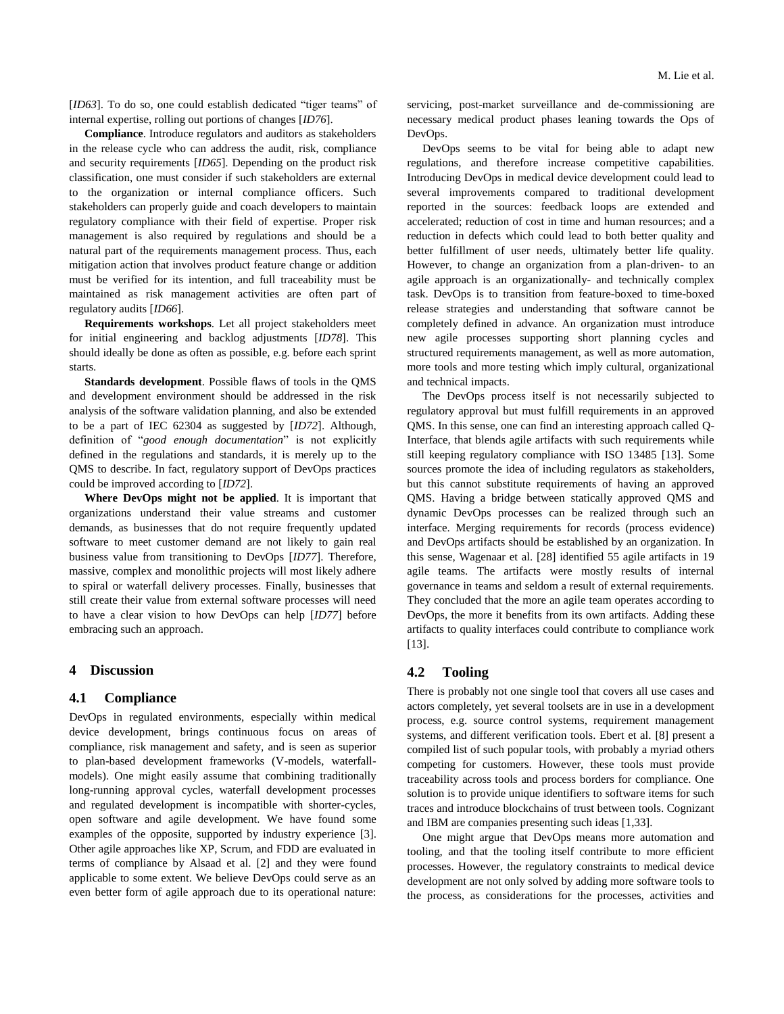[*ID63*]. To do so, one could establish dedicated "tiger teams" of internal expertise, rolling out portions of changes [*ID76*].

**Compliance**. Introduce regulators and auditors as stakeholders in the release cycle who can address the audit, risk, compliance and security requirements [*ID65*]. Depending on the product risk classification, one must consider if such stakeholders are external to the organization or internal compliance officers. Such stakeholders can properly guide and coach developers to maintain regulatory compliance with their field of expertise. Proper risk management is also required by regulations and should be a natural part of the requirements management process. Thus, each mitigation action that involves product feature change or addition must be verified for its intention, and full traceability must be maintained as risk management activities are often part of regulatory audits [*ID66*].

**Requirements workshops**. Let all project stakeholders meet for initial engineering and backlog adjustments [*ID78*]. This should ideally be done as often as possible, e.g. before each sprint starts.

**Standards development**. Possible flaws of tools in the QMS and development environment should be addressed in the risk analysis of the software validation planning, and also be extended to be a part of IEC 62304 as suggested by [*ID72*]. Although, definition of "*good enough documentation*" is not explicitly defined in the regulations and standards, it is merely up to the QMS to describe. In fact, regulatory support of DevOps practices could be improved according to [*ID72*].

**Where DevOps might not be applied**. It is important that organizations understand their value streams and customer demands, as businesses that do not require frequently updated software to meet customer demand are not likely to gain real business value from transitioning to DevOps [*ID77*]. Therefore, massive, complex and monolithic projects will most likely adhere to spiral or waterfall delivery processes. Finally, businesses that still create their value from external software processes will need to have a clear vision to how DevOps can help [*ID77*] before embracing such an approach.

### **4 Discussion**

### **4.1 Compliance**

DevOps in regulated environments, especially within medical device development, brings continuous focus on areas of compliance, risk management and safety, and is seen as superior to plan-based development frameworks (V-models, waterfallmodels). One might easily assume that combining traditionally long-running approval cycles, waterfall development processes and regulated development is incompatible with shorter-cycles, open software and agile development. We have found some examples of the opposite, supported by industry experience [3]. Other agile approaches like XP, Scrum, and FDD are evaluated in terms of compliance by Alsaad et al. [2] and they were found applicable to some extent. We believe DevOps could serve as an even better form of agile approach due to its operational nature: servicing, post-market surveillance and de-commissioning are necessary medical product phases leaning towards the Ops of DevOps.

DevOps seems to be vital for being able to adapt new regulations, and therefore increase competitive capabilities. Introducing DevOps in medical device development could lead to several improvements compared to traditional development reported in the sources: feedback loops are extended and accelerated; reduction of cost in time and human resources; and a reduction in defects which could lead to both better quality and better fulfillment of user needs, ultimately better life quality. However, to change an organization from a plan-driven- to an agile approach is an organizationally- and technically complex task. DevOps is to transition from feature-boxed to time-boxed release strategies and understanding that software cannot be completely defined in advance. An organization must introduce new agile processes supporting short planning cycles and structured requirements management, as well as more automation, more tools and more testing which imply cultural, organizational and technical impacts.

The DevOps process itself is not necessarily subjected to regulatory approval but must fulfill requirements in an approved QMS. In this sense, one can find an interesting approach called Q-Interface, that blends agile artifacts with such requirements while still keeping regulatory compliance with ISO 13485 [13]. Some sources promote the idea of including regulators as stakeholders, but this cannot substitute requirements of having an approved QMS. Having a bridge between statically approved QMS and dynamic DevOps processes can be realized through such an interface. Merging requirements for records (process evidence) and DevOps artifacts should be established by an organization. In this sense, Wagenaar et al. [28] identified 55 agile artifacts in 19 agile teams. The artifacts were mostly results of internal governance in teams and seldom a result of external requirements. They concluded that the more an agile team operates according to DevOps, the more it benefits from its own artifacts. Adding these artifacts to quality interfaces could contribute to compliance work [13].

### **4.2 Tooling**

There is probably not one single tool that covers all use cases and actors completely, yet several toolsets are in use in a development process, e.g. source control systems, requirement management systems, and different verification tools. Ebert et al. [8] present a compiled list of such popular tools, with probably a myriad others competing for customers. However, these tools must provide traceability across tools and process borders for compliance. One solution is to provide unique identifiers to software items for such traces and introduce blockchains of trust between tools. Cognizant and IBM are companies presenting such ideas [1,33].

One might argue that DevOps means more automation and tooling, and that the tooling itself contribute to more efficient processes. However, the regulatory constraints to medical device development are not only solved by adding more software tools to the process, as considerations for the processes, activities and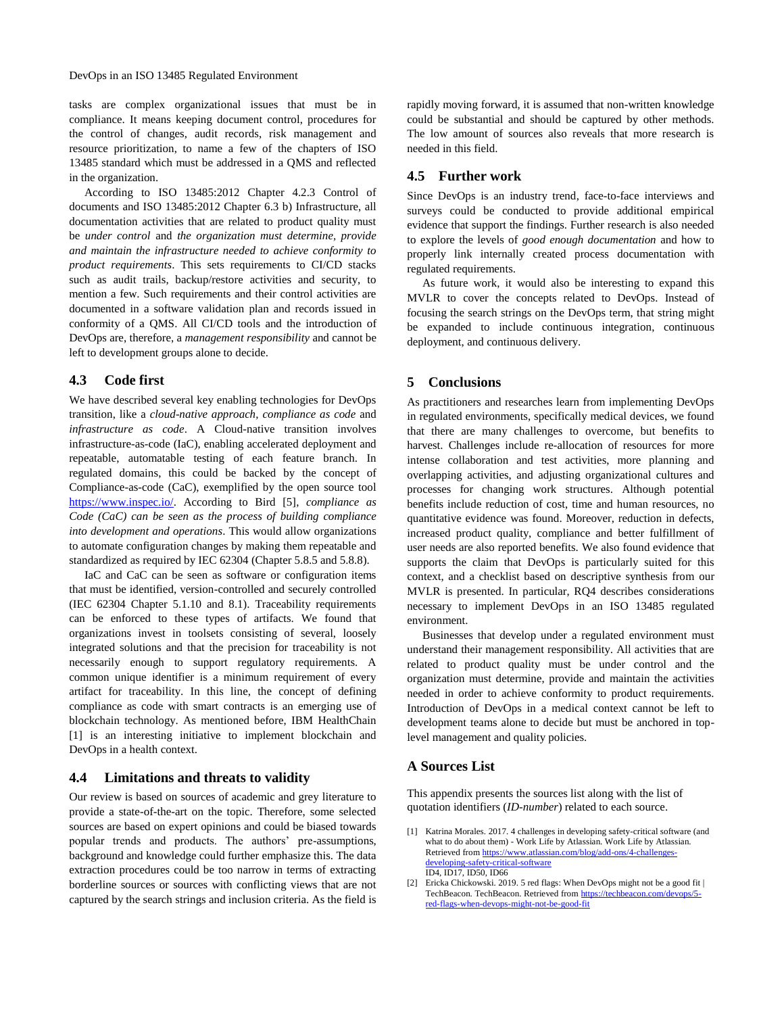tasks are complex organizational issues that must be in compliance. It means keeping document control, procedures for the control of changes, audit records, risk management and resource prioritization, to name a few of the chapters of ISO 13485 standard which must be addressed in a QMS and reflected in the organization.

According to ISO 13485:2012 Chapter 4.2.3 Control of documents and ISO 13485:2012 Chapter 6.3 b) Infrastructure, all documentation activities that are related to product quality must be *under control* and *the organization must determine, provide and maintain the infrastructure needed to achieve conformity to product requirements*. This sets requirements to CI/CD stacks such as audit trails, backup/restore activities and security, to mention a few. Such requirements and their control activities are documented in a software validation plan and records issued in conformity of a QMS. All CI/CD tools and the introduction of DevOps are, therefore, a *management responsibility* and cannot be left to development groups alone to decide.

### **4.3 Code first**

We have described several key enabling technologies for DevOps transition, like a *cloud-native approach, compliance as code* and *infrastructure as code*. A Cloud-native transition involves infrastructure-as-code (IaC), enabling accelerated deployment and repeatable, automatable testing of each feature branch. In regulated domains, this could be backed by the concept of Compliance-as-code (CaC), exemplified by the open source tool [https://www.inspec.io/.](https://www.inspec.io/) According to Bird [5], *compliance as Code (CaC) can be seen as the process of building compliance into development and operations*. This would allow organizations to automate configuration changes by making them repeatable and standardized as required by IEC 62304 (Chapter 5.8.5 and 5.8.8).

IaC and CaC can be seen as software or configuration items that must be identified, version-controlled and securely controlled (IEC 62304 Chapter 5.1.10 and 8.1). Traceability requirements can be enforced to these types of artifacts. We found that organizations invest in toolsets consisting of several, loosely integrated solutions and that the precision for traceability is not necessarily enough to support regulatory requirements. A common unique identifier is a minimum requirement of every artifact for traceability. In this line, the concept of defining compliance as code with smart contracts is an emerging use of blockchain technology. As mentioned before, IBM HealthChain [1] is an interesting initiative to implement blockchain and DevOps in a health context.

### **4.4 Limitations and threats to validity**

Our review is based on sources of academic and grey literature to provide a state-of-the-art on the topic. Therefore, some selected sources are based on expert opinions and could be biased towards popular trends and products. The authors' pre-assumptions, background and knowledge could further emphasize this. The data extraction procedures could be too narrow in terms of extracting borderline sources or sources with conflicting views that are not captured by the search strings and inclusion criteria. As the field is

rapidly moving forward, it is assumed that non-written knowledge could be substantial and should be captured by other methods. The low amount of sources also reveals that more research is needed in this field.

### **4.5 Further work**

Since DevOps is an industry trend, face-to-face interviews and surveys could be conducted to provide additional empirical evidence that support the findings. Further research is also needed to explore the levels of *good enough documentation* and how to properly link internally created process documentation with regulated requirements.

As future work, it would also be interesting to expand this MVLR to cover the concepts related to DevOps. Instead of focusing the search strings on the DevOps term, that string might be expanded to include continuous integration, continuous deployment, and continuous delivery.

### **5 Conclusions**

As practitioners and researches learn from implementing DevOps in regulated environments, specifically medical devices, we found that there are many challenges to overcome, but benefits to harvest. Challenges include re-allocation of resources for more intense collaboration and test activities, more planning and overlapping activities, and adjusting organizational cultures and processes for changing work structures. Although potential benefits include reduction of cost, time and human resources, no quantitative evidence was found. Moreover, reduction in defects, increased product quality, compliance and better fulfillment of user needs are also reported benefits. We also found evidence that supports the claim that DevOps is particularly suited for this context, and a checklist based on descriptive synthesis from our MVLR is presented. In particular, RQ4 describes considerations necessary to implement DevOps in an ISO 13485 regulated environment.

Businesses that develop under a regulated environment must understand their management responsibility. All activities that are related to product quality must be under control and the organization must determine, provide and maintain the activities needed in order to achieve conformity to product requirements. Introduction of DevOps in a medical context cannot be left to development teams alone to decide but must be anchored in toplevel management and quality policies.

### **A Sources List**

This appendix presents the sources list along with the list of quotation identifiers (*ID-number*) related to each source.

- [1] Katrina Morales. 2017. 4 challenges in developing safety-critical software (and what to do about them) - Work Life by Atlassian. Work Life by Atlassian. Retrieved fro[m https://www.atlassian.com/blog/add-ons/4-challenges](https://www.atlassian.com/blog/add-ons/4-challenges-developing-safety-critical-software)[developing-safety-critical-software](https://www.atlassian.com/blog/add-ons/4-challenges-developing-safety-critical-software) ID4, ID17, ID50, ID66
- [2] Ericka Chickowski. 2019. 5 red flags: When DevOps might not be a good fit | TechBeacon. TechBeacon. Retrieved fro[m https://techbeacon.com/devops/5](https://techbeacon.com/devops/5-red-flags-when-devops-might-not-be-good-fit) [red-flags-when-devops-might-not-be-good-fit](https://techbeacon.com/devops/5-red-flags-when-devops-might-not-be-good-fit)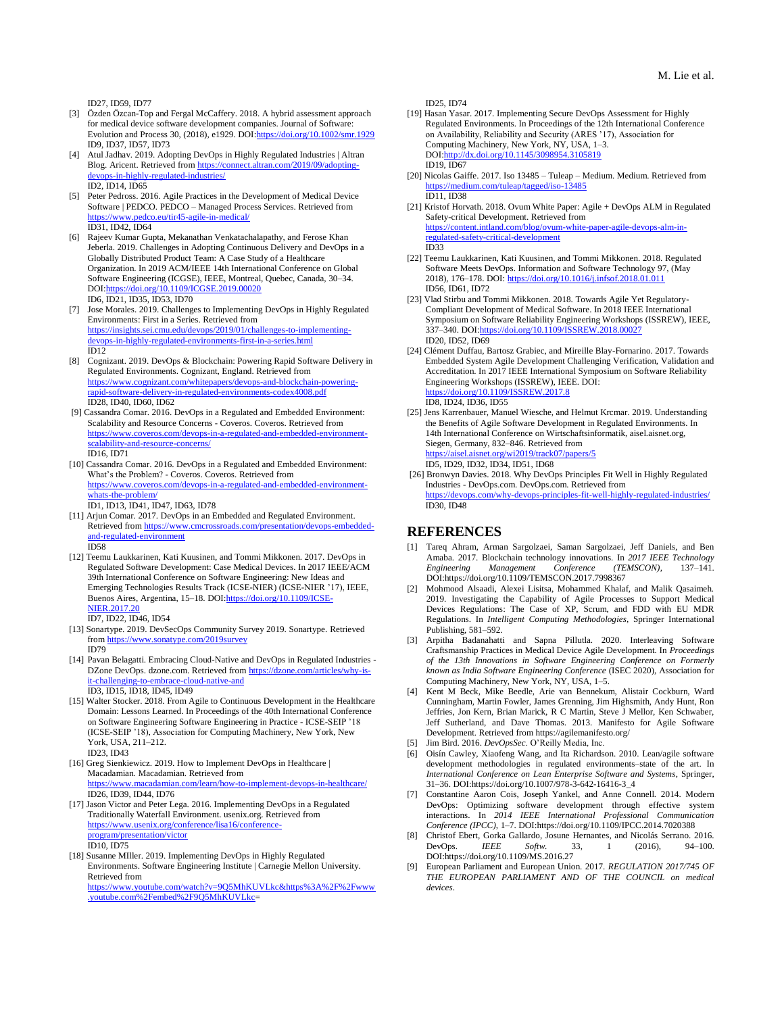ID27, ID59, ID77

- Özden Özcan-Top and Fergal McCaffery. 2018. A hybrid assessment approach for medical device software development companies. Journal of Software: Evolution and Process 30, (2018), e1929. DO[I:https://doi.org/10.1002/smr.1929](https://doi.org/10.1002/smr.1929) ID9, ID37, ID57, ID73
- Atul Jadhav. 2019. Adopting DevOps in Highly Regulated Industries | Altran Blog. Aricent. Retrieved fro[m https://connect.altran.com/2019/09/adopting](https://connect.altran.com/2019/09/adopting-devops-in-highly-regulated-industries/)s-in-highly-regulated-industries/ ID2, ID14, ID65
- [5] Peter Pedross. 2016. Agile Practices in the Development of Medical Device Software | PEDCO. PEDCO – Managed Process Services. Retrieved from <https://www.pedco.eu/tir45-agile-in-medical/> ID31, ID42, ID64
- [6] Rajeev Kumar Gupta, Mekanathan Venkatachalapathy, and Ferose Khan Jeberla. 2019. Challenges in Adopting Continuous Delivery and DevOps in a Globally Distributed Product Team: A Case Study of a Healthcare Organization. In 2019 ACM/IEEE 14th International Conference on Global Software Engineering (ICGSE), IEEE, Montreal, Quebec, Canada, 30–34. DOI[:https://doi.org/10.1109/ICGSE.2019.00020](https://doi.org/10.1109/ICGSE.2019.00020) ID6, ID21, ID35, ID53, ID70
- [7] Jose Morales. 2019. Challenges to Implementing DevOps in Highly Regulated Environments: First in a Series. Retrieved from [https://insights.sei.cmu.edu/devops/2019/01/challenges-to-implementing](https://insights.sei.cmu.edu/devops/2019/01/challenges-to-implementing-devops-in-highly-regulated-environments-first-in-a-series.html)[devops-in-highly-regulated-environments-first-in-a-series.html](https://insights.sei.cmu.edu/devops/2019/01/challenges-to-implementing-devops-in-highly-regulated-environments-first-in-a-series.html) ID12
- [8] Cognizant. 2019. DevOps & Blockchain: Powering Rapid Software Delivery in Regulated Environments. Cognizant, England. Retrieved from [https://www.cognizant.com/whitepapers/devops-and-blockchain-powering](https://www.cognizant.com/whitepapers/devops-and-blockchain-powering-rapid-software-delivery-in-regulated-environments-codex4008.pdf)[rapid-software-delivery-in-regulated-environments-codex4008.pdf](https://www.cognizant.com/whitepapers/devops-and-blockchain-powering-rapid-software-delivery-in-regulated-environments-codex4008.pdf) ID28, ID40, ID60, ID62
- [9] Cassandra Comar. 2016. DevOps in a Regulated and Embedded Environment: Scalability and Resource Concerns - Coveros. Coveros. Retrieved from https://www.coveros.com/devops-in-a-regulated-and-embedded-environm [scalability-and-resource-concerns/](https://www.coveros.com/devops-in-a-regulated-and-embedded-environment-scalability-and-resource-concerns/) ID16, ID71
- [10] Cassandra Comar. 2016. DevOps in a Regulated and Embedded Environment: What's the Problem? - Coveros. Coveros. Retrieved from [https://www.coveros.com/devops-in-a-regulated-and-embedded-environment](https://www.coveros.com/devops-in-a-regulated-and-embedded-environment-whats-the-problem/)[whats-the-problem/](https://www.coveros.com/devops-in-a-regulated-and-embedded-environment-whats-the-problem/)

ID1, ID13, ID41, ID47, ID63, ID78

- [11] Arjun Comar. 2017. DevOps in an Embedded and Regulated Environment. Retrieved fro[m https://www.cmcrossroads.com/presentation/devops-embedded](https://www.cmcrossroads.com/presentation/devops-embedded-and-regulated-environment)[and-regulated-environment](https://www.cmcrossroads.com/presentation/devops-embedded-and-regulated-environment) ID58
- [12] Teemu Laukkarinen, Kati Kuusinen, and Tommi Mikkonen. 2017. DevOps in Regulated Software Development: Case Medical Devices. In 2017 IEEE/ACM 39th International Conference on Software Engineering: New Ideas and Emerging Technologies Results Track (ICSE-NIER) (ICSE-NIER '17), IEEE, Buenos Aires, Argentina, 15–18. DO[I:https://doi.org/10.1109/ICSE-](https://doi.org/10.1109/ICSE-NIER.2017.20)[NIER.2017.20](https://doi.org/10.1109/ICSE-NIER.2017.20)
	- ID7, ID22, ID46, ID54
- [13] Sonartype. 2019. DevSecOps Community Survey 2019. Sonartype. Retrieved from<https://www.sonatype.com/2019survey> ID79
- [14] Pavan Belagatti. Embracing Cloud-Native and DevOps in Regulated Industries -DZone DevOps. dzone.com. Retrieved fro[m https://dzone.com/articles/why-is](https://dzone.com/articles/why-is-it-challenging-to-embrace-cloud-native-and)[it-challenging-to-embrace-cloud-native-and](https://dzone.com/articles/why-is-it-challenging-to-embrace-cloud-native-and) ID3, ID15, ID18, ID45, ID49
- [15] Walter Stocker. 2018. From Agile to Continuous Development in the Healthcare Domain: Lessons Learned. In Proceedings of the 40th International Conference on Software Engineering Software Engineering in Practice - ICSE-SEIP '18 (ICSE-SEIP '18), Association for Computing Machinery, New York, New York, USA, 211–212. ID23, ID43
- [16] Greg Sienkiewicz. 2019. How to Implement DevOps in Healthcare | Macadamian. Macadamian. Retrieved from damian.com/learn/how-to-implement-devops-in-healthcare/ ID26, ID39, ID44, ID76
- [17] Jason Victor and Peter Lega. 2016. Implementing DevOps in a Regulated Traditionally Waterfall Environment. usenix.org. Retrieved from [https://www.usenix.org/conference/lisa16/conference](https://www.usenix.org/conference/lisa16/conference-program/presentation/victor)[program/presentation/victor](https://www.usenix.org/conference/lisa16/conference-program/presentation/victor) ID10, ID75
- [18] Susanne MIller. 2019. Implementing DevOps in Highly Regulated Environments. Software Engineering Institute | Carnegie Mellon University. Retrieved from [https://www.youtube.com/watch?v=9Q5MhKUVLkc&https%3A%2F%2Fwww](https://www.youtube.com/watch?v=9Q5MhKUVLkc&https%3A%2F%2Fwww.youtube.com%2Fembed%2F9Q5MhKUVLkc) [.youtube.com%2Fembed%2F9Q5MhKUVLkc=](https://www.youtube.com/watch?v=9Q5MhKUVLkc&https%3A%2F%2Fwww.youtube.com%2Fembed%2F9Q5MhKUVLkc)

ID25, ID74

- [19] Hasan Yasar. 2017. Implementing Secure DevOps Assessment for Highly Regulated Environments. In Proceedings of the 12th International Conference on Availability, Reliability and Security (ARES '17), Association for Computing Machinery, New York, NY, USA, 1–3. DOI[:http://dx.doi.org/10.1145/3098954.3105819](http://dx.doi.org/10.1145/3098954.3105819) ID19, ID67
- [20] Nicolas Gaiffe. 2017. Iso 13485 Tuleap Medium. Medium. Retrieved from <https://medium.com/tuleap/tagged/iso-13485> ID11, ID38
- [21] Kristof Horvath. 2018. Ovum White Paper: Agile + DevOps ALM in Regulated Safety-critical Development. Retrieved from [https://content.intland.com/blog/ovum-white-paper-agile-devops-alm-in](https://content.intland.com/blog/ovum-white-paper-agile-devops-alm-in-regulated-safety-critical-development)[regulated-safety-critical-development](https://content.intland.com/blog/ovum-white-paper-agile-devops-alm-in-regulated-safety-critical-development) ID33
- [22] Teemu Laukkarinen, Kati Kuusinen, and Tommi Mikkonen. 2018. Regulated Software Meets DevOps. Information and Software Technology 97, (May 2018), 176–178. DOI: <https://doi.org/10.1016/j.infsof.2018.01.011> ID56, ID61, ID72
- [23] Vlad Stirbu and Tommi Mikkonen. 2018. Towards Agile Yet Regulatory-Compliant Development of Medical Software. In 2018 IEEE International Symposium on Software Reliability Engineering Workshops (ISSREW), IEEE, 337–340. DOI[:https://doi.org/10.1109/ISSREW.2018.00027](https://doi.org/10.1109/ISSREW.2018.00027) ID20, ID52, ID69
- [24] Clément Duffau, Bartosz Grabiec, and Mireille Blay-Fornarino. 2017. Towards Embedded System Agile Development Challenging Verification, Validation and Accreditation. In 2017 IEEE International Symposium on Software Reliability Engineering Workshops (ISSREW), IEEE. DOI: ://doi.org/10.1109/ISSREW.2017.8 ID8, ID24, ID36, ID55
- [25] Jens Karrenbauer, Manuel Wiesche, and Helmut Krcmar. 2019. Understanding the Benefits of Agile Software Development in Regulated Environments. In 14th International Conference on Wirtschaftsinformatik, aisel.aisnet.org, Siegen, Germany, 832–846. Retrieved from https://aisnet.org/wi2019/track07/papers/5 ID5, ID29, ID32, ID34, ID51, ID68
- [26] Bronwyn Davies. 2018. Why DevOps Principles Fit Well in Highly Regulated Industries - DevOps.com. DevOps.com. Retrieved from <https://devops.com/why-devops-principles-fit-well-highly-regulated-industries/> ID30, ID48

#### **REFERENCES**

- [1] Tareq Ahram, Arman Sargolzaei, Saman Sargolzaei, Jeff Daniels, and Ben Amaba. 2017. Blockchain technology innovations. In *2017 IEEE Technology*   $M$ anagement DOI:https://doi.org/10.1109/TEMSCON.2017.7998367
- [2] Mohmood Alsaadi, Alexei Lisitsa, Mohammed Khalaf, and Malik Qasaimeh. 2019. Investigating the Capability of Agile Processes to Support Medical Devices Regulations: The Case of XP, Scrum, and FDD with EU MDR Regulations. In *Intelligent Computing Methodologies*, Springer International Publishing, 581–592.
- [3] Arpitha Badanahatti and Sapna Pillutla. 2020. Interleaving Software Craftsmanship Practices in Medical Device Agile Development. In *Proceedings of the 13th Innovations in Software Engineering Conference on Formerly known as India Software Engineering Conference* (ISEC 2020), Association for Computing Machinery, New York, NY, USA, 1–5.
- [4] Kent M Beck, Mike Beedle, Arie van Bennekum, Alistair Cockburn, Ward Cunningham, Martin Fowler, James Grenning, Jim Highsmith, Andy Hunt, Ron Jeffries, Jon Kern, Brian Marick, R C Martin, Steve J Mellor, Ken Schwaber, Jeff Sutherland, and Dave Thomas. 2013. Manifesto for Agile Software Development. Retrieved from https://agilemanifesto.org/
- [5] Jim Bird. 2016. *DevOpsSec*. O'Reilly Media, Inc.
- [6] Oisín Cawley, Xiaofeng Wang, and Ita Richardson. 2010. Lean/agile software development methodologies in regulated environments–state of the art. In *International Conference on Lean Enterprise Software and Systems*, Springer, 31–36. DOI:https://doi.org/10.1007/978-3-642-16416-3\_4
- [7] Constantine Aaron Cois, Joseph Yankel, and Anne Connell. 2014. Modern DevOps: Optimizing software development through effective system interactions. In *2014 IEEE International Professional Communication Conference (IPCC)*, 1–7. DOI:https://doi.org/10.1109/IPCC.2014.7020388
- [8] Christof Ebert, Gorka Gallardo, Josune Hernantes, and Nicolás Serrano. 2016.<br>DevOps. *IEEE Softw.* 33, 1 (2016), 94–100. DevOps. *IEEE Softw.* 33, 1 (2016), 94–100. DOI:https://doi.org/10.1109/MS.2016.27
- [9] European Parliament and European Union. 2017. *REGULATION 2017/745 OF THE EUROPEAN PARLIAMENT AND OF THE COUNCIL on medical devices*.